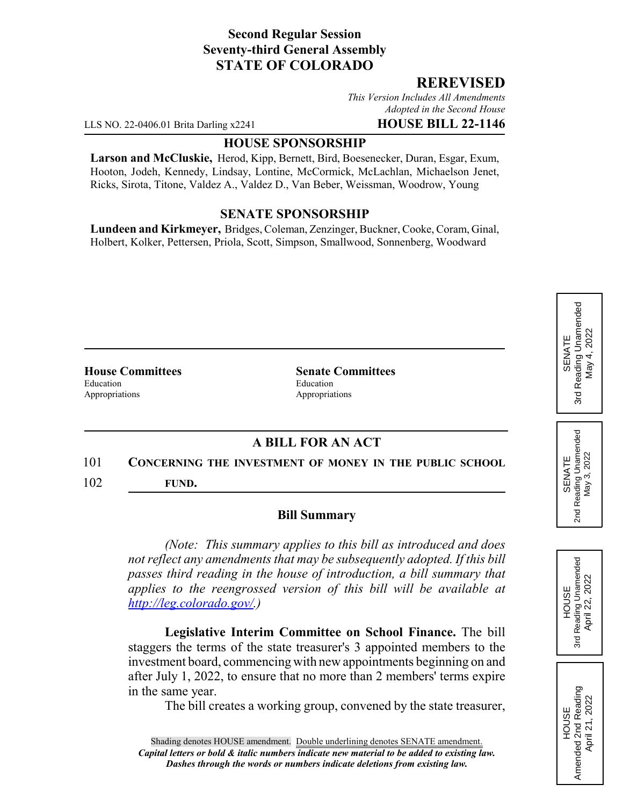## **Second Regular Session Seventy-third General Assembly STATE OF COLORADO**

## **REREVISED**

*This Version Includes All Amendments Adopted in the Second House*

LLS NO. 22-0406.01 Brita Darling x2241 **HOUSE BILL 22-1146**

#### **HOUSE SPONSORSHIP**

**Larson and McCluskie,** Herod, Kipp, Bernett, Bird, Boesenecker, Duran, Esgar, Exum, Hooton, Jodeh, Kennedy, Lindsay, Lontine, McCormick, McLachlan, Michaelson Jenet, Ricks, Sirota, Titone, Valdez A., Valdez D., Van Beber, Weissman, Woodrow, Young

### **SENATE SPONSORSHIP**

**Lundeen and Kirkmeyer,** Bridges, Coleman, Zenzinger, Buckner, Cooke, Coram, Ginal, Holbert, Kolker, Pettersen, Priola, Scott, Simpson, Smallwood, Sonnenberg, Woodward

Education Education Education Appropriations **Appropriations** 

**House Committees Senate Committees**

# **A BILL FOR AN ACT**

#### 101 **CONCERNING THE INVESTMENT OF MONEY IN THE PUBLIC SCHOOL**

102 **FUND.**

#### **Bill Summary**

*(Note: This summary applies to this bill as introduced and does not reflect any amendments that may be subsequently adopted. If this bill passes third reading in the house of introduction, a bill summary that applies to the reengrossed version of this bill will be available at http://leg.colorado.gov/.)*

**Legislative Interim Committee on School Finance.** The bill staggers the terms of the state treasurer's 3 appointed members to the investment board, commencing with new appointments beginning on and after July 1, 2022, to ensure that no more than 2 members' terms expire in the same year.

The bill creates a working group, convened by the state treasurer,

Reading Unamended 3rd Reading Unamended May 4, 2022 May 4, 2022 SENATE 3rd





HOUSE<br>Amended 2nd Reading Amended 2nd Reading April 21, 2022

April 21, 2022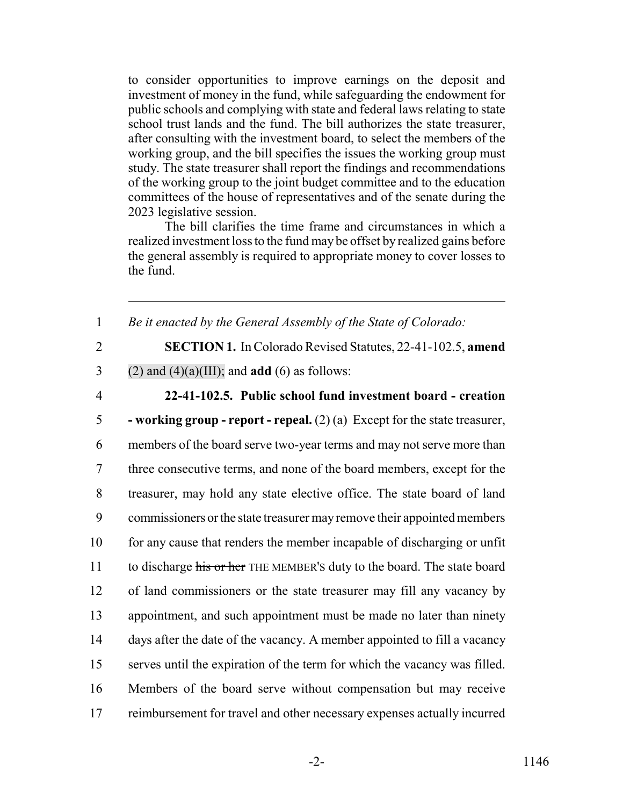to consider opportunities to improve earnings on the deposit and investment of money in the fund, while safeguarding the endowment for public schools and complying with state and federal laws relating to state school trust lands and the fund. The bill authorizes the state treasurer, after consulting with the investment board, to select the members of the working group, and the bill specifies the issues the working group must study. The state treasurer shall report the findings and recommendations of the working group to the joint budget committee and to the education committees of the house of representatives and of the senate during the 2023 legislative session.

The bill clarifies the time frame and circumstances in which a realized investment loss to the fund may be offset by realized gains before the general assembly is required to appropriate money to cover losses to the fund.

1 *Be it enacted by the General Assembly of the State of Colorado:*

2 **SECTION 1.** In Colorado Revised Statutes, 22-41-102.5, **amend**

3 (2) and  $(4)(a)(III)$ ; and **add** (6) as follows:

# 4 **22-41-102.5. Public school fund investment board - creation**

 **- working group - report - repeal.** (2) (a) Except for the state treasurer, members of the board serve two-year terms and may not serve more than three consecutive terms, and none of the board members, except for the treasurer, may hold any state elective office. The state board of land commissioners or the state treasurer may remove their appointed members 10 for any cause that renders the member incapable of discharging or unfit 11 to discharge his or her THE MEMBER's duty to the board. The state board of land commissioners or the state treasurer may fill any vacancy by appointment, and such appointment must be made no later than ninety days after the date of the vacancy. A member appointed to fill a vacancy serves until the expiration of the term for which the vacancy was filled. Members of the board serve without compensation but may receive reimbursement for travel and other necessary expenses actually incurred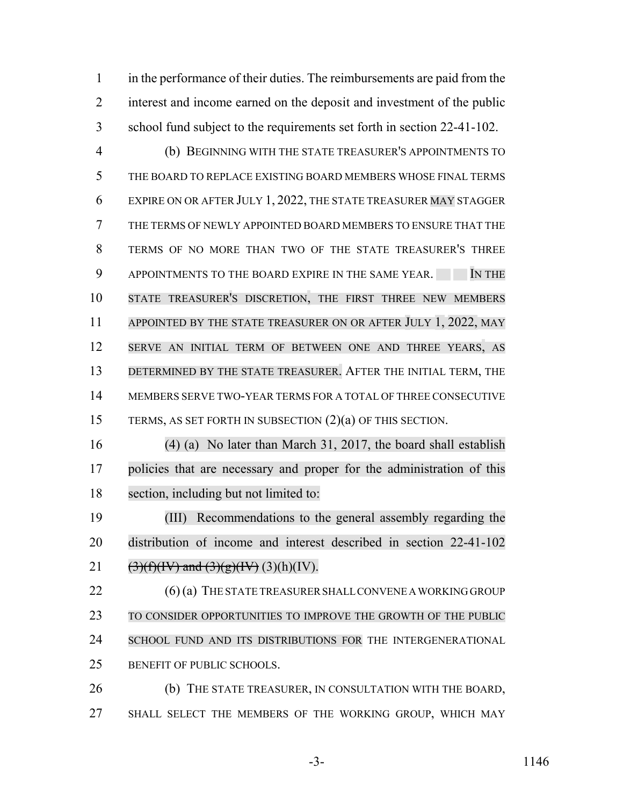in the performance of their duties. The reimbursements are paid from the interest and income earned on the deposit and investment of the public school fund subject to the requirements set forth in section 22-41-102.

 (b) BEGINNING WITH THE STATE TREASURER'S APPOINTMENTS TO THE BOARD TO REPLACE EXISTING BOARD MEMBERS WHOSE FINAL TERMS EXPIRE ON OR AFTER JULY 1, 2022, THE STATE TREASURER MAY STAGGER THE TERMS OF NEWLY APPOINTED BOARD MEMBERS TO ENSURE THAT THE TERMS OF NO MORE THAN TWO OF THE STATE TREASURER'S THREE 9 APPOINTMENTS TO THE BOARD EXPIRE IN THE SAME YEAR. IN THE STATE TREASURER'S DISCRETION, THE FIRST THREE NEW MEMBERS 11 APPOINTED BY THE STATE TREASURER ON OR AFTER JULY 1, 2022, MAY SERVE AN INITIAL TERM OF BETWEEN ONE AND THREE YEARS, AS 13 DETERMINED BY THE STATE TREASURER. AFTER THE INITIAL TERM, THE MEMBERS SERVE TWO-YEAR TERMS FOR A TOTAL OF THREE CONSECUTIVE TERMS, AS SET FORTH IN SUBSECTION (2)(a) OF THIS SECTION.

 (4) (a) No later than March 31, 2017, the board shall establish policies that are necessary and proper for the administration of this section, including but not limited to:

 (III) Recommendations to the general assembly regarding the distribution of income and interest described in section 22-41-102 (3)(f)(IV) and (3)(g)(IV) (3)(h)(IV).

22 (6) (a) THE STATE TREASURER SHALL CONVENE A WORKING GROUP TO CONSIDER OPPORTUNITIES TO IMPROVE THE GROWTH OF THE PUBLIC 24 SCHOOL FUND AND ITS DISTRIBUTIONS FOR THE INTERGENERATIONAL BENEFIT OF PUBLIC SCHOOLS.

 (b) THE STATE TREASURER, IN CONSULTATION WITH THE BOARD, SHALL SELECT THE MEMBERS OF THE WORKING GROUP, WHICH MAY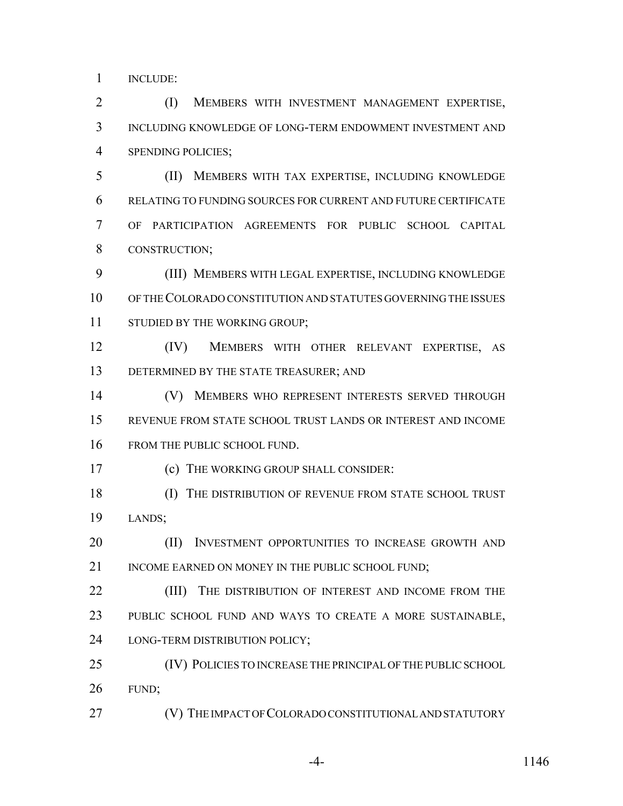INCLUDE:

 (I) MEMBERS WITH INVESTMENT MANAGEMENT EXPERTISE, INCLUDING KNOWLEDGE OF LONG-TERM ENDOWMENT INVESTMENT AND SPENDING POLICIES;

 (II) MEMBERS WITH TAX EXPERTISE, INCLUDING KNOWLEDGE RELATING TO FUNDING SOURCES FOR CURRENT AND FUTURE CERTIFICATE OF PARTICIPATION AGREEMENTS FOR PUBLIC SCHOOL CAPITAL CONSTRUCTION;

 (III) MEMBERS WITH LEGAL EXPERTISE, INCLUDING KNOWLEDGE OF THE COLORADO CONSTITUTION AND STATUTES GOVERNING THE ISSUES 11 STUDIED BY THE WORKING GROUP;

 (IV) MEMBERS WITH OTHER RELEVANT EXPERTISE, AS 13 DETERMINED BY THE STATE TREASURER; AND

 (V) MEMBERS WHO REPRESENT INTERESTS SERVED THROUGH REVENUE FROM STATE SCHOOL TRUST LANDS OR INTEREST AND INCOME 16 FROM THE PUBLIC SCHOOL FUND.

(c) THE WORKING GROUP SHALL CONSIDER:

18 (I) THE DISTRIBUTION OF REVENUE FROM STATE SCHOOL TRUST LANDS;

**(II) INVESTMENT OPPORTUNITIES TO INCREASE GROWTH AND** 21 INCOME EARNED ON MONEY IN THE PUBLIC SCHOOL FUND:

**(III)** THE DISTRIBUTION OF INTEREST AND INCOME FROM THE PUBLIC SCHOOL FUND AND WAYS TO CREATE A MORE SUSTAINABLE, LONG-TERM DISTRIBUTION POLICY;

 (IV) POLICIES TO INCREASE THE PRINCIPAL OF THE PUBLIC SCHOOL FUND;

**(V) THE IMPACT OF COLORADO CONSTITUTIONAL AND STATUTORY** 

-4- 1146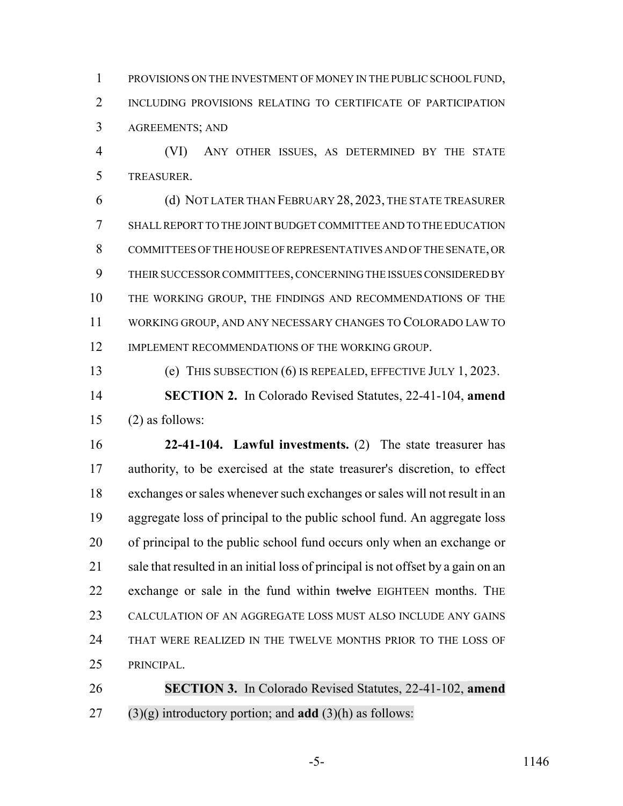PROVISIONS ON THE INVESTMENT OF MONEY IN THE PUBLIC SCHOOL FUND, 2 INCLUDING PROVISIONS RELATING TO CERTIFICATE OF PARTICIPATION AGREEMENTS; AND

 (VI) ANY OTHER ISSUES, AS DETERMINED BY THE STATE TREASURER.

 (d) NOT LATER THAN FEBRUARY 28, 2023, THE STATE TREASURER SHALL REPORT TO THE JOINT BUDGET COMMITTEE AND TO THE EDUCATION COMMITTEES OF THE HOUSE OF REPRESENTATIVES AND OF THE SENATE, OR THEIR SUCCESSOR COMMITTEES, CONCERNING THE ISSUES CONSIDERED BY THE WORKING GROUP, THE FINDINGS AND RECOMMENDATIONS OF THE WORKING GROUP, AND ANY NECESSARY CHANGES TO COLORADO LAW TO 12 IMPLEMENT RECOMMENDATIONS OF THE WORKING GROUP.

(e) THIS SUBSECTION (6) IS REPEALED, EFFECTIVE JULY 1, 2023.

 **SECTION 2.** In Colorado Revised Statutes, 22-41-104, **amend** (2) as follows:

 **22-41-104. Lawful investments.** (2) The state treasurer has authority, to be exercised at the state treasurer's discretion, to effect exchanges or sales whenever such exchanges or sales will not result in an aggregate loss of principal to the public school fund. An aggregate loss of principal to the public school fund occurs only when an exchange or 21 sale that resulted in an initial loss of principal is not offset by a gain on an 22 exchange or sale in the fund within twelve EIGHTEEN months. THE CALCULATION OF AN AGGREGATE LOSS MUST ALSO INCLUDE ANY GAINS THAT WERE REALIZED IN THE TWELVE MONTHS PRIOR TO THE LOSS OF PRINCIPAL.

 **SECTION 3.** In Colorado Revised Statutes, 22-41-102, **amend** (3)(g) introductory portion; and **add** (3)(h) as follows: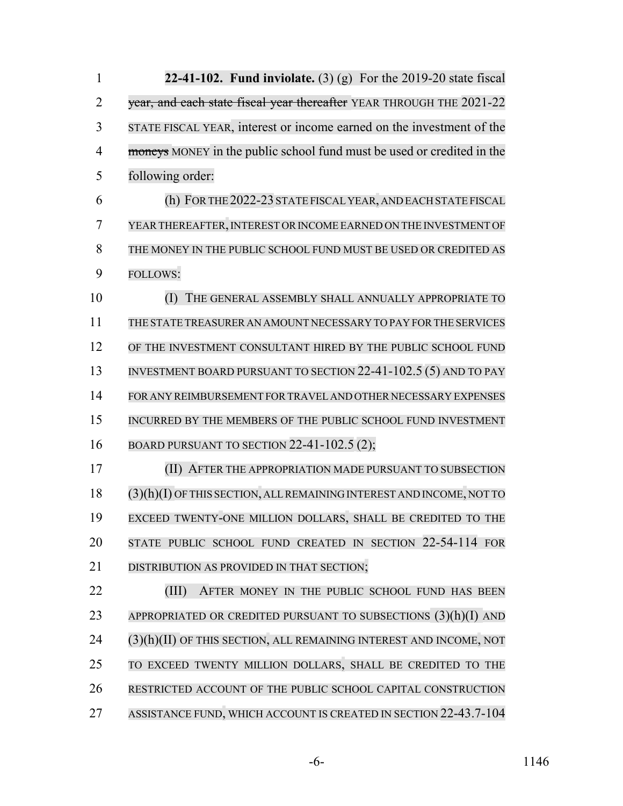| $\mathbf{1}$   | 22-41-102. Fund inviolate. $(3)$ (g) For the 2019-20 state fiscal      |
|----------------|------------------------------------------------------------------------|
| $\overline{2}$ | year, and each state fiscal year thereafter YEAR THROUGH THE 2021-22   |
| 3              | STATE FISCAL YEAR, interest or income earned on the investment of the  |
| $\overline{4}$ | moneys MONEY in the public school fund must be used or credited in the |
| 5              | following order:                                                       |
| 6              | (h) FOR THE 2022-23 STATE FISCAL YEAR, AND EACH STATE FISCAL           |
| 7              | YEAR THEREAFTER, INTEREST OR INCOME EARNED ON THE INVESTMENT OF        |
| 8              | THE MONEY IN THE PUBLIC SCHOOL FUND MUST BE USED OR CREDITED AS        |
| 9              | <b>FOLLOWS:</b>                                                        |
| 10             | (I)<br>THE GENERAL ASSEMBLY SHALL ANNUALLY APPROPRIATE TO              |
| 11             | THE STATE TREASURER AN AMOUNT NECESSARY TO PAY FOR THE SERVICES        |
| 12             | OF THE INVESTMENT CONSULTANT HIRED BY THE PUBLIC SCHOOL FUND           |
| 13             | INVESTMENT BOARD PURSUANT TO SECTION 22-41-102.5 (5) AND TO PAY        |
| 14             | FOR ANY REIMBURSEMENT FOR TRAVEL AND OTHER NECESSARY EXPENSES          |
| 15             | INCURRED BY THE MEMBERS OF THE PUBLIC SCHOOL FUND INVESTMENT           |
| 16             | BOARD PURSUANT TO SECTION 22-41-102.5 (2);                             |
| 17             | AFTER THE APPROPRIATION MADE PURSUANT TO SUBSECTION<br>(II)            |
| 18             | (3)(h)(I) OF THIS SECTION, ALL REMAINING INTEREST AND INCOME, NOT TO   |
| 19             | EXCEED TWENTY-ONE MILLION DOLLARS, SHALL BE CREDITED TO THE            |
| 20             | STATE PUBLIC SCHOOL FUND CREATED IN SECTION 22-54-114 FOR              |
| 21             | DISTRIBUTION AS PROVIDED IN THAT SECTION;                              |
| 22             | (III)<br>AFTER MONEY IN THE PUBLIC SCHOOL FUND HAS BEEN                |
| 23             | APPROPRIATED OR CREDITED PURSUANT TO SUBSECTIONS $(3)(h)(I)$ and       |
| 24             | $(3)(h)(II)$ OF THIS SECTION, ALL REMAINING INTEREST AND INCOME, NOT   |
| 25             | TO EXCEED TWENTY MILLION DOLLARS, SHALL BE CREDITED TO THE             |
| 26             | RESTRICTED ACCOUNT OF THE PUBLIC SCHOOL CAPITAL CONSTRUCTION           |
| 27             | ASSISTANCE FUND, WHICH ACCOUNT IS CREATED IN SECTION 22-43.7-104       |

-6- 1146